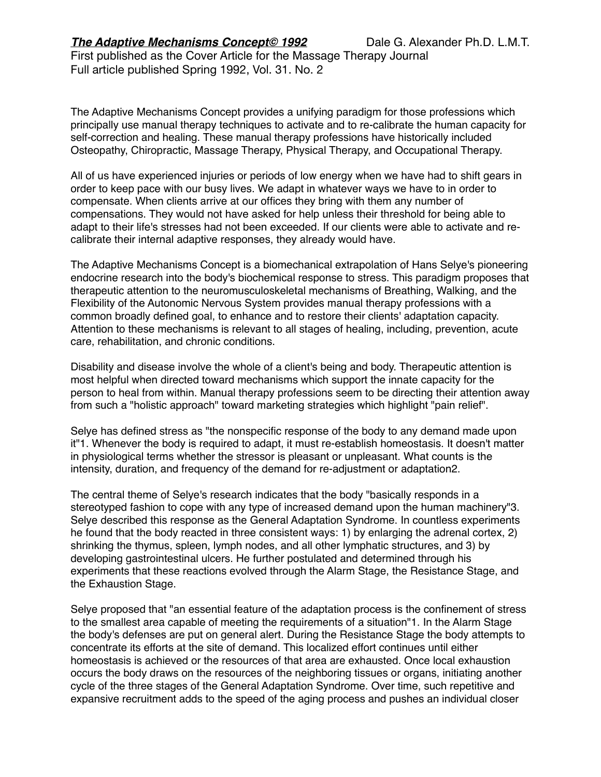The Adaptive Mechanisms Concept provides a unifying paradigm for those professions which principally use manual therapy techniques to activate and to re-calibrate the human capacity for self-correction and healing. These manual therapy professions have historically included Osteopathy, Chiropractic, Massage Therapy, Physical Therapy, and Occupational Therapy.

All of us have experienced injuries or periods of low energy when we have had to shift gears in order to keep pace with our busy lives. We adapt in whatever ways we have to in order to compensate. When clients arrive at our offices they bring with them any number of compensations. They would not have asked for help unless their threshold for being able to adapt to their life's stresses had not been exceeded. If our clients were able to activate and recalibrate their internal adaptive responses, they already would have.

The Adaptive Mechanisms Concept is a biomechanical extrapolation of Hans Selye's pioneering endocrine research into the body's biochemical response to stress. This paradigm proposes that therapeutic attention to the neuromusculoskeletal mechanisms of Breathing, Walking, and the Flexibility of the Autonomic Nervous System provides manual therapy professions with a common broadly defined goal, to enhance and to restore their clients' adaptation capacity. Attention to these mechanisms is relevant to all stages of healing, including, prevention, acute care, rehabilitation, and chronic conditions.

Disability and disease involve the whole of a client's being and body. Therapeutic attention is most helpful when directed toward mechanisms which support the innate capacity for the person to heal from within. Manual therapy professions seem to be directing their attention away from such a "holistic approach" toward marketing strategies which highlight "pain relief".

Selye has defined stress as "the nonspecific response of the body to any demand made upon it"1. Whenever the body is required to adapt, it must re-establish homeostasis. It doesn't matter in physiological terms whether the stressor is pleasant or unpleasant. What counts is the intensity, duration, and frequency of the demand for re-adjustment or adaptation2.

The central theme of Selye's research indicates that the body "basically responds in a stereotyped fashion to cope with any type of increased demand upon the human machinery"3. Selye described this response as the General Adaptation Syndrome. In countless experiments he found that the body reacted in three consistent ways: 1) by enlarging the adrenal cortex, 2) shrinking the thymus, spleen, lymph nodes, and all other lymphatic structures, and 3) by developing gastrointestinal ulcers. He further postulated and determined through his experiments that these reactions evolved through the Alarm Stage, the Resistance Stage, and the Exhaustion Stage.

Selye proposed that "an essential feature of the adaptation process is the confinement of stress to the smallest area capable of meeting the requirements of a situation"1. In the Alarm Stage the body's defenses are put on general alert. During the Resistance Stage the body attempts to concentrate its efforts at the site of demand. This localized effort continues until either homeostasis is achieved or the resources of that area are exhausted. Once local exhaustion occurs the body draws on the resources of the neighboring tissues or organs, initiating another cycle of the three stages of the General Adaptation Syndrome. Over time, such repetitive and expansive recruitment adds to the speed of the aging process and pushes an individual closer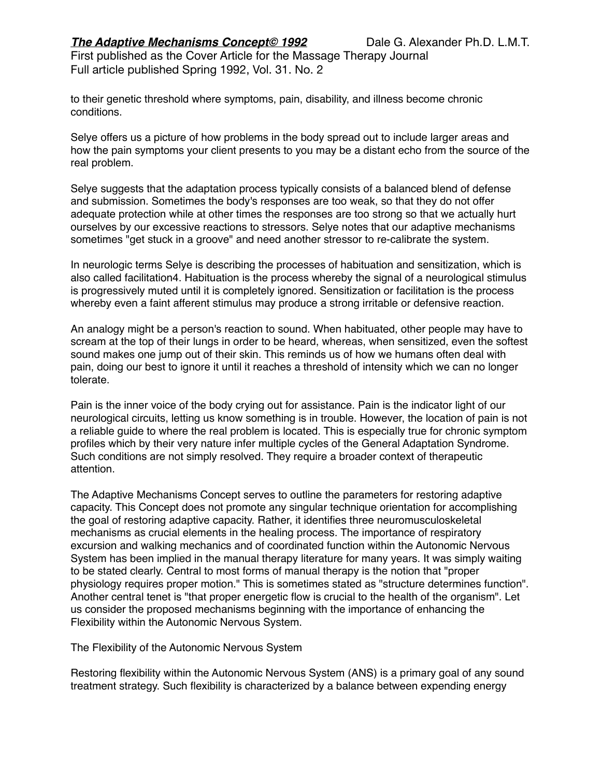to their genetic threshold where symptoms, pain, disability, and illness become chronic conditions.

Selye offers us a picture of how problems in the body spread out to include larger areas and how the pain symptoms your client presents to you may be a distant echo from the source of the real problem.

Selye suggests that the adaptation process typically consists of a balanced blend of defense and submission. Sometimes the body's responses are too weak, so that they do not offer adequate protection while at other times the responses are too strong so that we actually hurt ourselves by our excessive reactions to stressors. Selye notes that our adaptive mechanisms sometimes "get stuck in a groove" and need another stressor to re-calibrate the system.

In neurologic terms Selye is describing the processes of habituation and sensitization, which is also called facilitation4. Habituation is the process whereby the signal of a neurological stimulus is progressively muted until it is completely ignored. Sensitization or facilitation is the process whereby even a faint afferent stimulus may produce a strong irritable or defensive reaction.

An analogy might be a person's reaction to sound. When habituated, other people may have to scream at the top of their lungs in order to be heard, whereas, when sensitized, even the softest sound makes one jump out of their skin. This reminds us of how we humans often deal with pain, doing our best to ignore it until it reaches a threshold of intensity which we can no longer tolerate.

Pain is the inner voice of the body crying out for assistance. Pain is the indicator light of our neurological circuits, letting us know something is in trouble. However, the location of pain is not a reliable guide to where the real problem is located. This is especially true for chronic symptom profiles which by their very nature infer multiple cycles of the General Adaptation Syndrome. Such conditions are not simply resolved. They require a broader context of therapeutic attention.

The Adaptive Mechanisms Concept serves to outline the parameters for restoring adaptive capacity. This Concept does not promote any singular technique orientation for accomplishing the goal of restoring adaptive capacity. Rather, it identifies three neuromusculoskeletal mechanisms as crucial elements in the healing process. The importance of respiratory excursion and walking mechanics and of coordinated function within the Autonomic Nervous System has been implied in the manual therapy literature for many years. It was simply waiting to be stated clearly. Central to most forms of manual therapy is the notion that "proper physiology requires proper motion." This is sometimes stated as "structure determines function". Another central tenet is "that proper energetic flow is crucial to the health of the organism". Let us consider the proposed mechanisms beginning with the importance of enhancing the Flexibility within the Autonomic Nervous System.

The Flexibility of the Autonomic Nervous System

Restoring flexibility within the Autonomic Nervous System (ANS) is a primary goal of any sound treatment strategy. Such flexibility is characterized by a balance between expending energy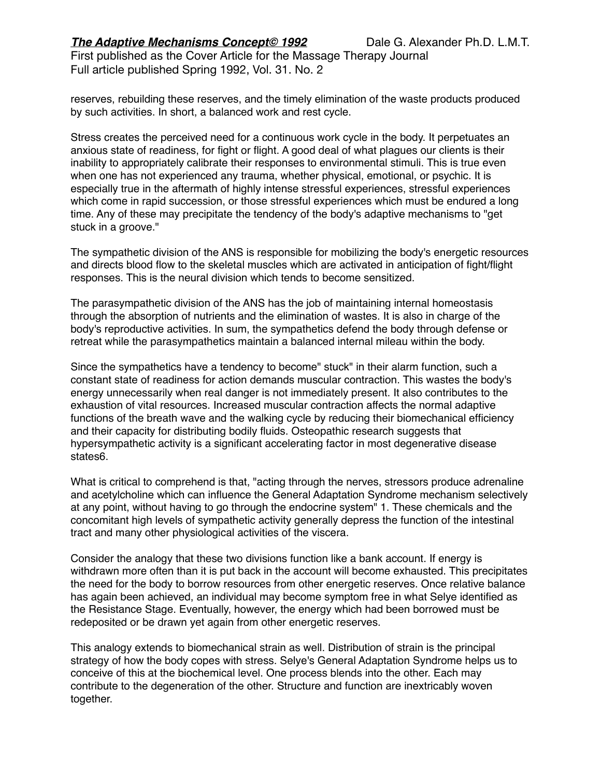reserves, rebuilding these reserves, and the timely elimination of the waste products produced by such activities. In short, a balanced work and rest cycle.

Stress creates the perceived need for a continuous work cycle in the body. It perpetuates an anxious state of readiness, for fight or flight. A good deal of what plagues our clients is their inability to appropriately calibrate their responses to environmental stimuli. This is true even when one has not experienced any trauma, whether physical, emotional, or psychic. It is especially true in the aftermath of highly intense stressful experiences, stressful experiences which come in rapid succession, or those stressful experiences which must be endured a long time. Any of these may precipitate the tendency of the body's adaptive mechanisms to "get stuck in a groove."

The sympathetic division of the ANS is responsible for mobilizing the body's energetic resources and directs blood flow to the skeletal muscles which are activated in anticipation of fight/flight responses. This is the neural division which tends to become sensitized.

The parasympathetic division of the ANS has the job of maintaining internal homeostasis through the absorption of nutrients and the elimination of wastes. It is also in charge of the body's reproductive activities. In sum, the sympathetics defend the body through defense or retreat while the parasympathetics maintain a balanced internal mileau within the body.

Since the sympathetics have a tendency to become" stuck" in their alarm function, such a constant state of readiness for action demands muscular contraction. This wastes the body's energy unnecessarily when real danger is not immediately present. It also contributes to the exhaustion of vital resources. Increased muscular contraction affects the normal adaptive functions of the breath wave and the walking cycle by reducing their biomechanical efficiency and their capacity for distributing bodily fluids. Osteopathic research suggests that hypersympathetic activity is a significant accelerating factor in most degenerative disease states6.

What is critical to comprehend is that, "acting through the nerves, stressors produce adrenaline and acetylcholine which can influence the General Adaptation Syndrome mechanism selectively at any point, without having to go through the endocrine system" 1. These chemicals and the concomitant high levels of sympathetic activity generally depress the function of the intestinal tract and many other physiological activities of the viscera.

Consider the analogy that these two divisions function like a bank account. If energy is withdrawn more often than it is put back in the account will become exhausted. This precipitates the need for the body to borrow resources from other energetic reserves. Once relative balance has again been achieved, an individual may become symptom free in what Selye identified as the Resistance Stage. Eventually, however, the energy which had been borrowed must be redeposited or be drawn yet again from other energetic reserves.

This analogy extends to biomechanical strain as well. Distribution of strain is the principal strategy of how the body copes with stress. Selye's General Adaptation Syndrome helps us to conceive of this at the biochemical level. One process blends into the other. Each may contribute to the degeneration of the other. Structure and function are inextricably woven together.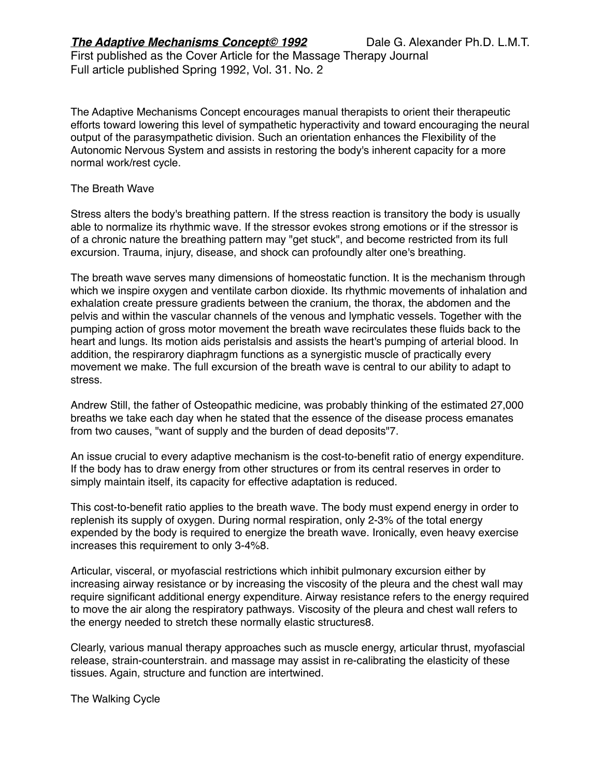The Adaptive Mechanisms Concept encourages manual therapists to orient their therapeutic efforts toward lowering this level of sympathetic hyperactivity and toward encouraging the neural output of the parasympathetic division. Such an orientation enhances the Flexibility of the Autonomic Nervous System and assists in restoring the body's inherent capacity for a more normal work/rest cycle.

## The Breath Wave

Stress alters the body's breathing pattern. If the stress reaction is transitory the body is usually able to normalize its rhythmic wave. If the stressor evokes strong emotions or if the stressor is of a chronic nature the breathing pattern may "get stuck", and become restricted from its full excursion. Trauma, injury, disease, and shock can profoundly alter one's breathing.

The breath wave serves many dimensions of homeostatic function. It is the mechanism through which we inspire oxygen and ventilate carbon dioxide. Its rhythmic movements of inhalation and exhalation create pressure gradients between the cranium, the thorax, the abdomen and the pelvis and within the vascular channels of the venous and lymphatic vessels. Together with the pumping action of gross motor movement the breath wave recirculates these fluids back to the heart and lungs. Its motion aids peristalsis and assists the heart's pumping of arterial blood. In addition, the respirarory diaphragm functions as a synergistic muscle of practically every movement we make. The full excursion of the breath wave is central to our ability to adapt to stress.

Andrew Still, the father of Osteopathic medicine, was probably thinking of the estimated 27,000 breaths we take each day when he stated that the essence of the disease process emanates from two causes, "want of supply and the burden of dead deposits"7.

An issue crucial to every adaptive mechanism is the cost-to-benefit ratio of energy expenditure. If the body has to draw energy from other structures or from its central reserves in order to simply maintain itself, its capacity for effective adaptation is reduced.

This cost-to-benefit ratio applies to the breath wave. The body must expend energy in order to replenish its supply of oxygen. During normal respiration, only 2-3% of the total energy expended by the body is required to energize the breath wave. Ironically, even heavy exercise increases this requirement to only 3-4%8.

Articular, visceral, or myofascial restrictions which inhibit pulmonary excursion either by increasing airway resistance or by increasing the viscosity of the pleura and the chest wall may require significant additional energy expenditure. Airway resistance refers to the energy required to move the air along the respiratory pathways. Viscosity of the pleura and chest wall refers to the energy needed to stretch these normally elastic structures8.

Clearly, various manual therapy approaches such as muscle energy, articular thrust, myofascial release, strain-counterstrain. and massage may assist in re-calibrating the elasticity of these tissues. Again, structure and function are intertwined.

The Walking Cycle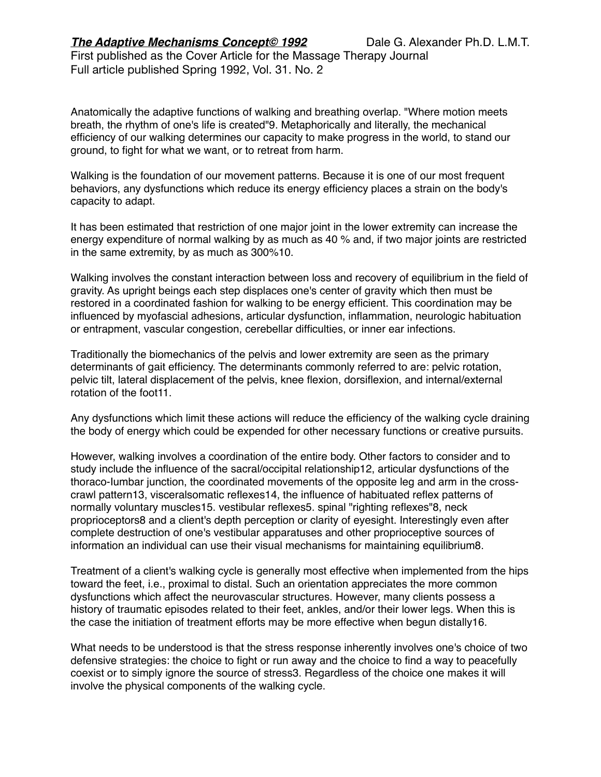Anatomically the adaptive functions of walking and breathing overlap. "Where motion meets breath, the rhythm of one's life is created"9. Metaphorically and literally, the mechanical efficiency of our walking determines our capacity to make progress in the world, to stand our ground, to fight for what we want, or to retreat from harm.

Walking is the foundation of our movement patterns. Because it is one of our most frequent behaviors, any dysfunctions which reduce its energy efficiency places a strain on the body's capacity to adapt.

It has been estimated that restriction of one major joint in the lower extremity can increase the energy expenditure of normal walking by as much as 40 % and, if two major joints are restricted in the same extremity, by as much as 300%10.

Walking involves the constant interaction between loss and recovery of equilibrium in the field of gravity. As upright beings each step displaces one's center of gravity which then must be restored in a coordinated fashion for walking to be energy efficient. This coordination may be influenced by myofascial adhesions, articular dysfunction, inflammation, neurologic habituation or entrapment, vascular congestion, cerebellar difficulties, or inner ear infections.

Traditionally the biomechanics of the pelvis and lower extremity are seen as the primary determinants of gait efficiency. The determinants commonly referred to are: pelvic rotation, pelvic tilt, lateral displacement of the pelvis, knee flexion, dorsiflexion, and internal/external rotation of the foot11.

Any dysfunctions which limit these actions will reduce the efficiency of the walking cycle draining the body of energy which could be expended for other necessary functions or creative pursuits.

However, walking involves a coordination of the entire body. Other factors to consider and to study include the influence of the sacral/occipital relationship12, articular dysfunctions of the thoraco-Iumbar junction, the coordinated movements of the opposite leg and arm in the crosscrawl pattern13, visceralsomatic reflexes14, the influence of habituated reflex patterns of normally voluntary muscles15. vestibular reflexes5. spinal "righting reflexes"8, neck proprioceptors8 and a client's depth perception or clarity of eyesight. Interestingly even after complete destruction of one's vestibular apparatuses and other proprioceptive sources of information an individual can use their visual mechanisms for maintaining equilibrium8.

Treatment of a client's walking cycle is generally most effective when implemented from the hips toward the feet, i.e., proximal to distal. Such an orientation appreciates the more common dysfunctions which affect the neurovascular structures. However, many clients possess a history of traumatic episodes related to their feet, ankles, and/or their lower legs. When this is the case the initiation of treatment efforts may be more effective when begun distally16.

What needs to be understood is that the stress response inherently involves one's choice of two defensive strategies: the choice to fight or run away and the choice to find a way to peacefully coexist or to simply ignore the source of stress3. Regardless of the choice one makes it will involve the physical components of the walking cycle.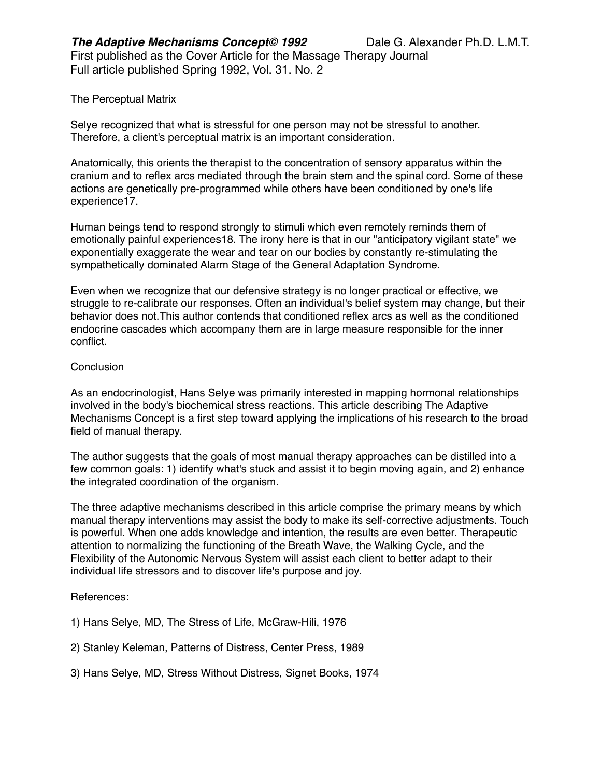The Perceptual Matrix

Selye recognized that what is stressful for one person may not be stressful to another. Therefore, a client's perceptual matrix is an important consideration.

Anatomically, this orients the therapist to the concentration of sensory apparatus within the cranium and to reflex arcs mediated through the brain stem and the spinal cord. Some of these actions are genetically pre-programmed while others have been conditioned by one's life experience17.

Human beings tend to respond strongly to stimuli which even remotely reminds them of emotionally painful experiences18. The irony here is that in our "anticipatory vigilant state" we exponentially exaggerate the wear and tear on our bodies by constantly re-stimulating the sympathetically dominated Alarm Stage of the General Adaptation Syndrome.

Even when we recognize that our defensive strategy is no longer practical or effective, we struggle to re-calibrate our responses. Often an individual's belief system may change, but their behavior does not.This author contends that conditioned reflex arcs as well as the conditioned endocrine cascades which accompany them are in large measure responsible for the inner conflict.

## **Conclusion**

As an endocrinologist, Hans Selye was primarily interested in mapping hormonal relationships involved in the body's biochemical stress reactions. This article describing The Adaptive Mechanisms Concept is a first step toward applying the implications of his research to the broad field of manual therapy.

The author suggests that the goals of most manual therapy approaches can be distilled into a few common goals: 1) identify what's stuck and assist it to begin moving again, and 2) enhance the integrated coordination of the organism.

The three adaptive mechanisms described in this article comprise the primary means by which manual therapy interventions may assist the body to make its self-corrective adjustments. Touch is powerful. When one adds knowledge and intention, the results are even better. Therapeutic attention to normalizing the functioning of the Breath Wave, the Walking Cycle, and the Flexibility of the Autonomic Nervous System will assist each client to better adapt to their individual life stressors and to discover life's purpose and joy.

## References:

- 1) Hans Selye, MD, The Stress of Life, McGraw-Hili, 1976
- 2) Stanley Keleman, Patterns of Distress, Center Press, 1989
- 3) Hans Selye, MD, Stress Without Distress, Signet Books, 1974